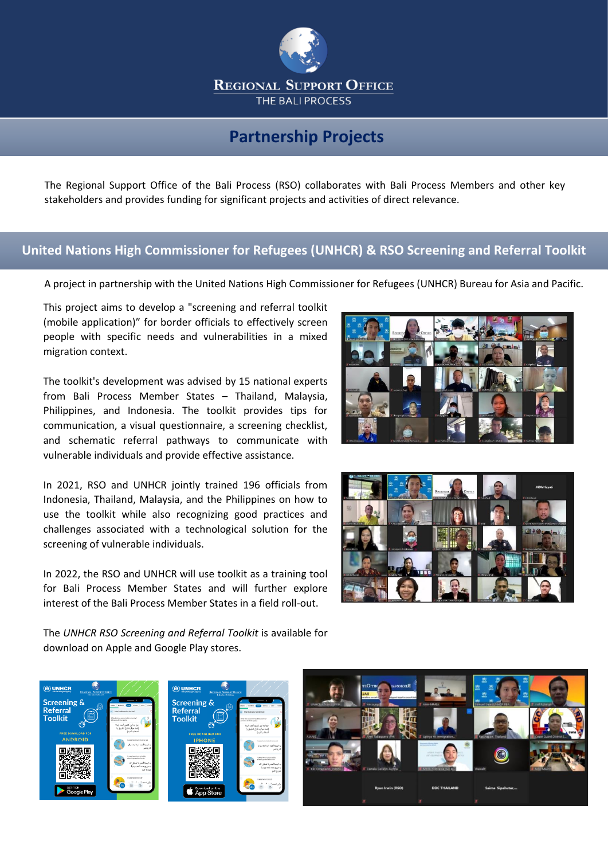

# **Partnership Projects**

The Regional Support Office of the Bali Process (RSO) collaborates with Bali Process Members and other key stakeholders and provides funding for significant projects and activities of direct relevance.

### **United Nations High Commissioner for Refugees (UNHCR) & RSO Screening and Referral Toolkit**

A project in partnership with the United Nations High Commissioner for Refugees (UNHCR) Bureau for Asia and Pacific.

This project aims to develop a "screening and referral toolkit (mobile application)" for border officials to effectively screen people with specific needs and vulnerabilities in a mixed migration context.

The toolkit's development was advised by 15 national experts from Bali Process Member States – Thailand, Malaysia, Philippines, and Indonesia. The toolkit provides tips for communication, a visual questionnaire, a screening checklist, and schematic referral pathways to communicate with vulnerable individuals and provide effective assistance.

In 2021, RSO and UNHCR jointly trained 196 officials from Indonesia, Thailand, Malaysia, and the Philippines on how to use the toolkit while also recognizing good practices and challenges associated with a technological solution for the screening of vulnerable individuals.

In 2022, the RSO and UNHCR will use toolkit as a training tool for Bali Process Member States and will further explore interest of the Bali Process Member States in a field roll-out.





The *UNHCR RSO Screening and Referral Toolkit* is available for download on Apple and Google Play stores.